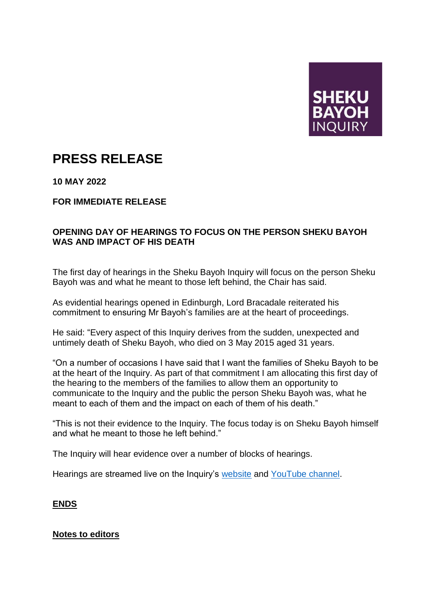

## **PRESS RELEASE**

**10 MAY 2022**

**FOR IMMEDIATE RELEASE**

## **OPENING DAY OF HEARINGS TO FOCUS ON THE PERSON SHEKU BAYOH WAS AND IMPACT OF HIS DEATH**

The first day of hearings in the Sheku Bayoh Inquiry will focus on the person Sheku Bayoh was and what he meant to those left behind, the Chair has said.

As evidential hearings opened in Edinburgh, Lord Bracadale reiterated his commitment to ensuring Mr Bayoh's families are at the heart of proceedings.

He said: "Every aspect of this Inquiry derives from the sudden, unexpected and untimely death of Sheku Bayoh, who died on 3 May 2015 aged 31 years.

"On a number of occasions I have said that I want the families of Sheku Bayoh to be at the heart of the Inquiry. As part of that commitment I am allocating this first day of the hearing to the members of the families to allow them an opportunity to communicate to the Inquiry and the public the person Sheku Bayoh was, what he meant to each of them and the impact on each of them of his death."

"This is not their evidence to the Inquiry. The focus today is on Sheku Bayoh himself and what he meant to those he left behind."

The Inquiry will hear evidence over a number of blocks of hearings.

Hearings are streamed live on the Inquiry's [website](https://www.shekubayohinquiry.scot/) and [YouTube channel.](https://www.youtube.com/channel/UCFSHYwLZ8hybDuGXCgGmsTQ)

## **ENDS**

## **Notes to editors**